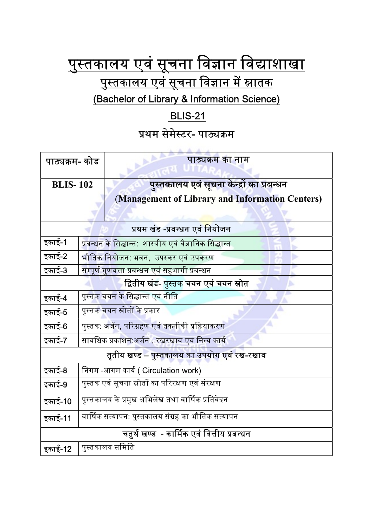## <u>पुस्तकालय एवं सूचना विज्ञान विद्याशाखा</u> <u>पुस्तकालय एवं सूचना विज्ञान में स्नातक</u> (Bachelor of Library & Information Science)

## BLIS-21

## प्रथम सेमेस्टर- पाठ्यक्रम

| पाठ्यक्रम- कोड                              |                                                               | पाठ्यक्रम का नाम                                                                                    |  |
|---------------------------------------------|---------------------------------------------------------------|-----------------------------------------------------------------------------------------------------|--|
| <b>BLIS-102</b>                             |                                                               | <u>पुस्तकालय एवं सूचना केन्द्रों का प्रबन्धन</u><br>(Management of Library and Information Centers) |  |
| प्रथम खंड -प्रबन्धन एवं नियोजन              |                                                               |                                                                                                     |  |
| इकाई-1                                      | प्रबन्धन के सिद्धान्त: शास्त्रीय एवं वैज्ञानिक सिद्धान्त      |                                                                                                     |  |
| इकाई-2                                      | भौतिक नियोजन: भवन,  उपस्कर एवं उपकरण                          |                                                                                                     |  |
| इकाई-3                                      | सम्पूर्ण गुण <mark>वत्ता प्रबन्धन एवं सहभागी प्रबन्धन</mark>  |                                                                                                     |  |
|                                             |                                                               | द्वितीय खंड- पुस्तक चयन एवं चयन स्रोत                                                               |  |
| इकाई-4                                      | पुस्तक चयन के सिद्धान्त एवं नीति                              |                                                                                                     |  |
| इकाई-5                                      | पुस्तक चयन स्रोतों के प्रकार                                  |                                                                                                     |  |
| इकाई-6                                      | पुस्तक: <mark>अर्जन, प</mark> रिग्रहण एवं तकनीकी प्रक्रियाकरण |                                                                                                     |  |
| इकाई-7                                      | सावधिक प्रकाशन:अर्जन , रखरखाव एवं नित्य कार्य                 |                                                                                                     |  |
| तृतीय खण्ड – पुस्तकालय का उपयोग एवं रख-रखाव |                                                               |                                                                                                     |  |
| इकाई-8                                      | निगम -आगम कार्य ( Circulation work)                           |                                                                                                     |  |
| इकाई-9                                      | पुस्तक एवं सूचना स्रोतों का परिरक्षण एवं संरक्षण              |                                                                                                     |  |
| इकाई-10                                     | पुस्तकालय के प्रमुख अभिलेख तथा वार्षिक प्रतिवेदन              |                                                                                                     |  |
| इकाई-11                                     | वार्षिक सत्यापन: पुस्तकालय संग्रह का भौतिक सत्यापन            |                                                                                                     |  |
| चतुर्थ खण्ड  - कार्मिक एवं वित्तीय प्रबन्धन |                                                               |                                                                                                     |  |
| इकाई-12                                     |                                                               | पुस्तकालय समिति                                                                                     |  |